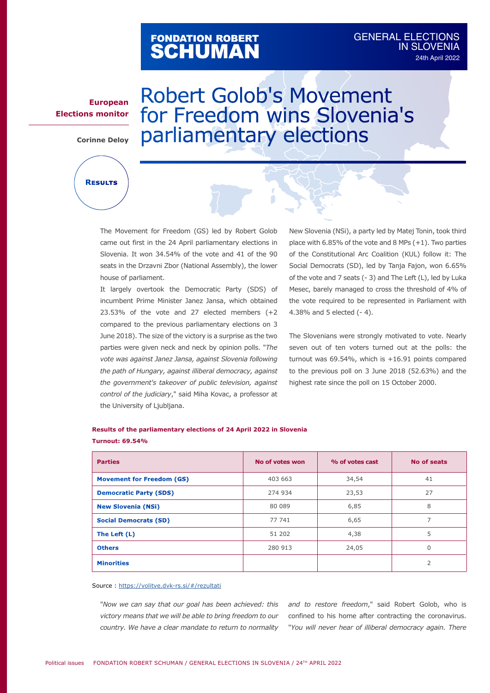# FONDATION ROBERT<br>**SCHUMAN**

### GENERAL ELECTIONS **IN SLOVENIA** 24th April 2022

### **European Elections monitor**

**Corinne Deloy**

**Results**

## Robert Golob's Movement for Freedom wins Slovenia's parliamentary elections

The Movement for Freedom (GS) led by Robert Golob came out first in the 24 April parliamentary elections in Slovenia. It won 34.54% of the vote and 41 of the 90 seats in the Drzavni Zbor (National Assembly), the lower house of parliament.

It largely overtook the Democratic Party (SDS) of incumbent Prime Minister Janez Jansa, which obtained 23.53% of the vote and 27 elected members (+2 compared to the previous parliamentary elections on 3 June 2018). The size of the victory is a surprise as the two parties were given neck and neck by opinion polls. "*The vote was against Janez Jansa, against Slovenia following the path of Hungary, against illiberal democracy, against the government's takeover of public television, against control of the judiciary*," said Miha Kovac, a professor at the University of Ljubljana.

New Slovenia (NSi), a party led by Matej Tonin, took third place with  $6.85\%$  of the vote and  $8$  MPs  $(+1)$ . Two parties of the Constitutional Arc Coalition (KUL) follow it: The Social Democrats (SD), led by Tanja Fajon, won 6.65% of the vote and 7 seats (- 3) and The Left (L), led by Luka Mesec, barely managed to cross the threshold of 4% of the vote required to be represented in Parliament with 4.38% and 5 elected (- 4).

The Slovenians were strongly motivated to vote. Nearly seven out of ten voters turned out at the polls: the turnout was  $69.54\%$ , which is  $+16.91$  points compared to the previous poll on 3 June 2018 (52.63%) and the highest rate since the poll on 15 October 2000.

### **Results of the parliamentary elections of 24 April 2022 in Slovenia Turnout: 69.54%**

| <b>Parties</b>                   | No of votes won | % of votes cast | No of seats |
|----------------------------------|-----------------|-----------------|-------------|
| <b>Movement for Freedom (GS)</b> | 403 663         | 34,54           | 41          |
| <b>Democratic Party (SDS)</b>    | 274 934         | 23,53           | 27          |
| <b>New Slovenia (NSi)</b>        | 80 089          | 6,85            | 8           |
| <b>Social Democrats (SD)</b>     | 77 741          | 6,65            | 7           |
| The Left (L)                     | 51 202          | 4,38            | 5           |
| <b>Others</b>                    | 280 913         | 24,05           | $\Omega$    |
| <b>Minorities</b>                |                 |                 | 2           |

#### Source :<https://volitve.dvk-rs.si/#/rezultati>

"*Now we can say that our goal has been achieved: this victory means that we will be able to bring freedom to our country. We have a clear mandate to return to normality*  *and to restore freedom*," said Robert Golob, who is confined to his home after contracting the coronavirus. "*You will never hear of illiberal democracy again. There*